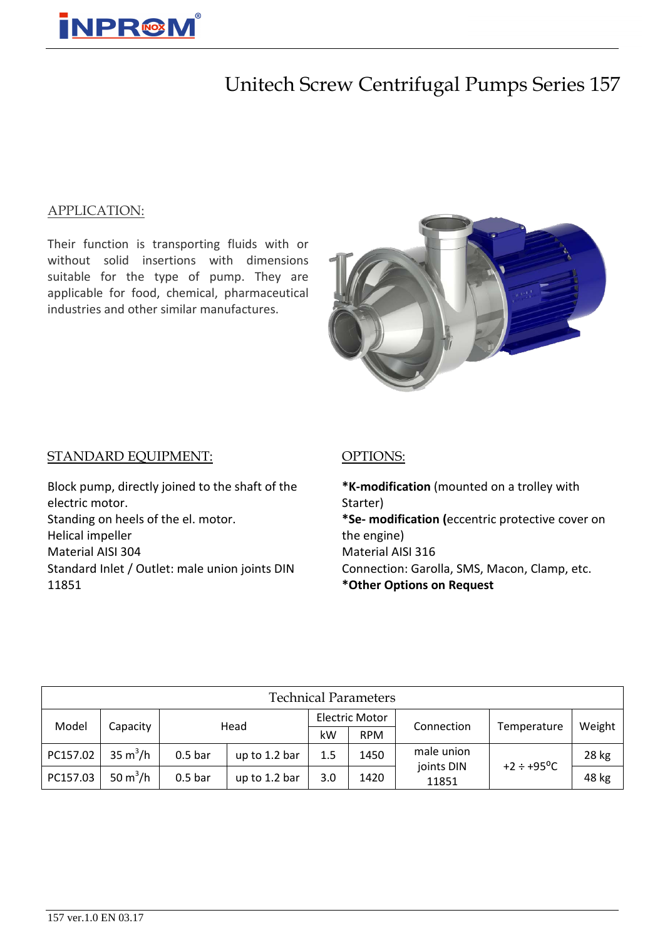

## Unitech Screw Centrifugal Pumps Series 157

#### APPLICATION:

Their function is transporting fluids with or without solid insertions with dimensions suitable for the type of pump. They are applicable for food, chemical, pharmaceutical industries and other similar manufactures.



#### STANDARD EQUIPMENT:

Block pump, directly joined to the shaft of the electric motor. Standing on heels of the el. motor. Helical impeller Material AISI 304 Standard Inlet / Outlet: male union joints DIN 11851

#### OPTIONS:

**\*K-modification** (mounted on a trolley with Starter) **\*Sе- modification (**eccentric protective cover on the engine) Material AISI 316 Connection: Garolla, SMS, Macon, Clamp, etc. **\*Other Options on Request**

| <b>Technical Parameters</b> |                           |                  |               |                |            |                     |                        |        |  |  |  |  |
|-----------------------------|---------------------------|------------------|---------------|----------------|------------|---------------------|------------------------|--------|--|--|--|--|
| Model                       | Capacity                  | Head             |               | Electric Motor |            | Connection          | Temperature            | Weight |  |  |  |  |
|                             |                           |                  |               | kW             | <b>RPM</b> |                     |                        |        |  |  |  |  |
| PC157.02                    | $35 \text{ m}^3/\text{h}$ | 0.5 <sub>b</sub> | up to 1.2 bar | 1.5            | 1450       | male union          | $+2 \div +95^{\circ}C$ | 28 kg  |  |  |  |  |
| PC157.03                    | 50 $m^3/h$                | 0.5 <sub>b</sub> | up to 1.2 bar | 3.0            | 1420       | joints DIN<br>11851 |                        | 48 kg  |  |  |  |  |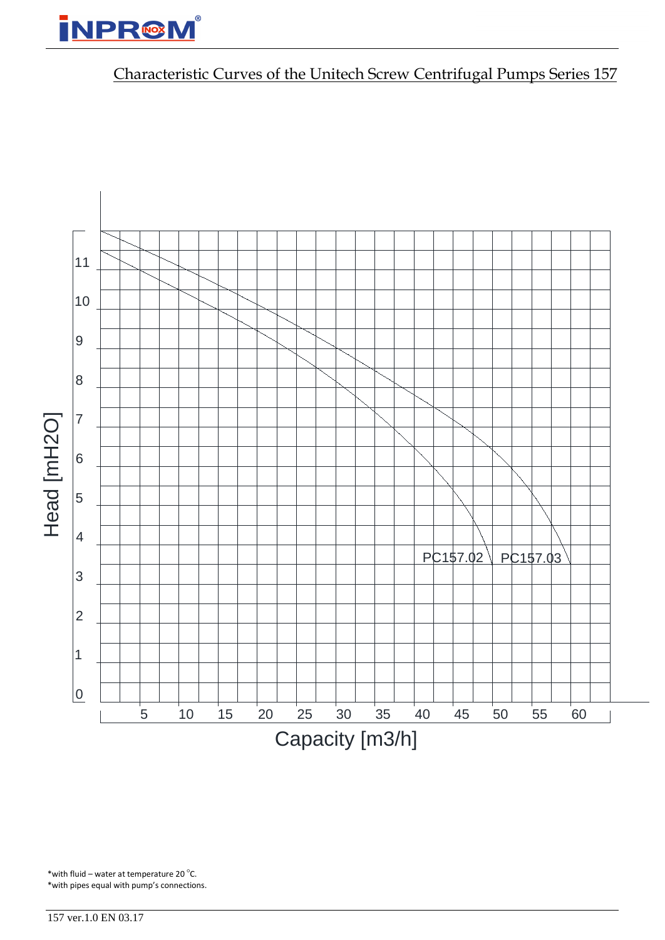# **NPR@M**

## Characteristic Curves of the Unitech Screw Centrifugal Pumps Series 157



\* with fluid – water at temperature 20 $\degree$ C. \*with pipes equal with pump's connections.